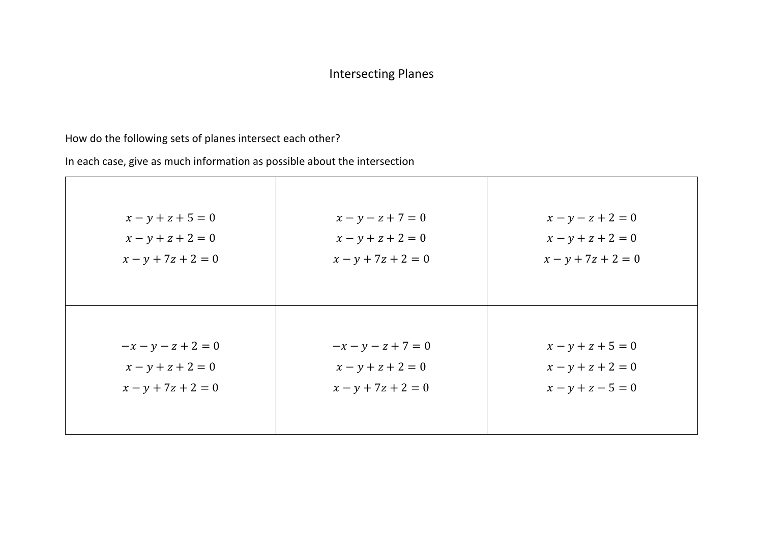# Intersecting Planes

# How do the following sets of planes intersect each other?

| $x - y + z + 5 = 0$  | $x - y - z + 7 = 0$  | $x - y - z + 2 = 0$  |
|----------------------|----------------------|----------------------|
| $x - y + z + 2 = 0$  | $x - y + z + 2 = 0$  | $x - y + z + 2 = 0$  |
| $x - y + 7z + 2 = 0$ | $x - y + 7z + 2 = 0$ | $x - y + 7z + 2 = 0$ |
| $-x - y - z + 2 = 0$ | $-x - y - z + 7 = 0$ | $x - y + z + 5 = 0$  |
| $x - y + z + 2 = 0$  | $x - y + z + 2 = 0$  | $x - y + z + 2 = 0$  |
| $x - y + 7z + 2 = 0$ | $x - y + 7z + 2 = 0$ | $x - y + z - 5 = 0$  |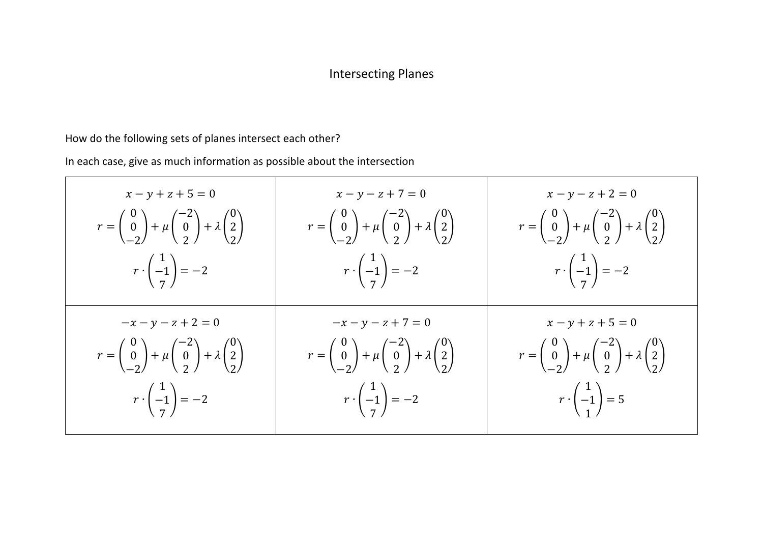# Intersecting Planes

### How do the following sets of planes intersect each other?

| $x - y + z + 5 = 0$                                                                                                                                   | $x - y - z + 7 = 0$                                                                                                                                   | $x - y - z + 2 = 0$                                                                                                                                   |
|-------------------------------------------------------------------------------------------------------------------------------------------------------|-------------------------------------------------------------------------------------------------------------------------------------------------------|-------------------------------------------------------------------------------------------------------------------------------------------------------|
| $r = \begin{pmatrix} 0 \\ 0 \\ -2 \end{pmatrix} + \mu \begin{pmatrix} -2 \\ 0 \\ 2 \end{pmatrix} + \lambda \begin{pmatrix} 0 \\ 2 \\ 2 \end{pmatrix}$ | $r = \begin{pmatrix} 0 \\ 0 \\ -2 \end{pmatrix} + \mu \begin{pmatrix} -2 \\ 0 \\ 2 \end{pmatrix} + \lambda \begin{pmatrix} 0 \\ 2 \\ 2 \end{pmatrix}$ | $r = \begin{pmatrix} 0 \\ 0 \\ -2 \end{pmatrix} + \mu \begin{pmatrix} -2 \\ 0 \\ 2 \end{pmatrix} + \lambda \begin{pmatrix} 0 \\ 2 \\ 2 \end{pmatrix}$ |
| $r\cdot \begin{pmatrix} 1 \\ -1 \\ 7 \end{pmatrix} = -2$                                                                                              | $r \cdot \begin{pmatrix} 1 \\ -1 \\ 7 \end{pmatrix} = -2$                                                                                             | $r\cdot\begin{pmatrix}1\\-1\\7\end{pmatrix}=-2$                                                                                                       |
| $-x - y - z + 2 = 0$                                                                                                                                  | $-x - y - z + 7 = 0$                                                                                                                                  | $x - y + z + 5 = 0$                                                                                                                                   |
| $r = \begin{pmatrix} 0 \\ 0 \\ -2 \end{pmatrix} + \mu \begin{pmatrix} -2 \\ 0 \\ 2 \end{pmatrix} + \lambda \begin{pmatrix} 0 \\ 2 \\ 2 \end{pmatrix}$ | $r = \begin{pmatrix} 0 \\ 0 \\ -2 \end{pmatrix} + \mu \begin{pmatrix} -2 \\ 0 \\ 2 \end{pmatrix} + \lambda \begin{pmatrix} 0 \\ 2 \\ 2 \end{pmatrix}$ | $r = \begin{pmatrix} 0 \\ 0 \\ -2 \end{pmatrix} + \mu \begin{pmatrix} -2 \\ 0 \\ 2 \end{pmatrix} + \lambda \begin{pmatrix} 0 \\ 2 \\ 2 \end{pmatrix}$ |
| $r \cdot \begin{pmatrix} 1 \\ -1 \\ 7 \end{pmatrix} = -2$                                                                                             | $r \cdot \begin{pmatrix} 1 \\ -1 \\ 7 \end{pmatrix} = -2$                                                                                             | $r\cdot \begin{pmatrix} 1\\-1\\1 \end{pmatrix} = 5$                                                                                                   |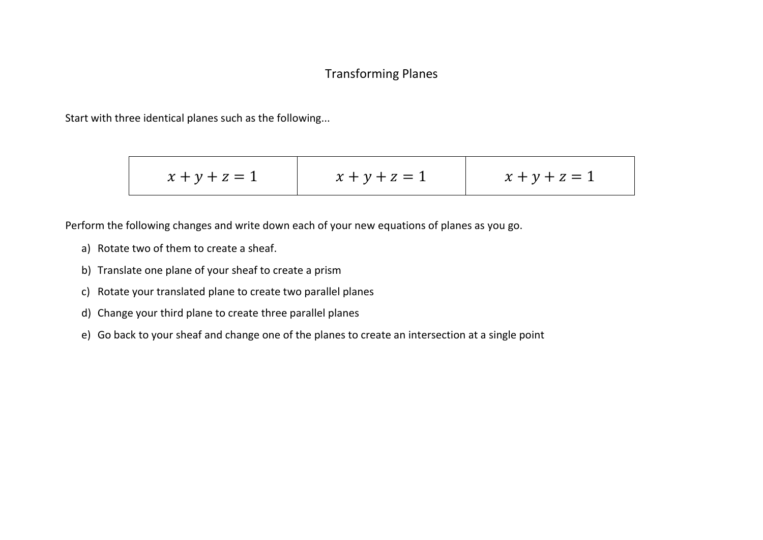#### Transforming Planes

Start with three identical planes such as the following...

$$
x + y + z = 1
$$
 
$$
x + y + z = 1
$$
 
$$
x + y + z = 1
$$

Perform the following changes and write down each of your new equations of planes as you go.

- a) Rotate two of them to create a sheaf.
- b) Translate one plane of your sheaf to create a prism
- c) Rotate your translated plane to create two parallel planes
- d) Change your third plane to create three parallel planes
- e) Go back to your sheaf and change one of the planes to create an intersection at a single point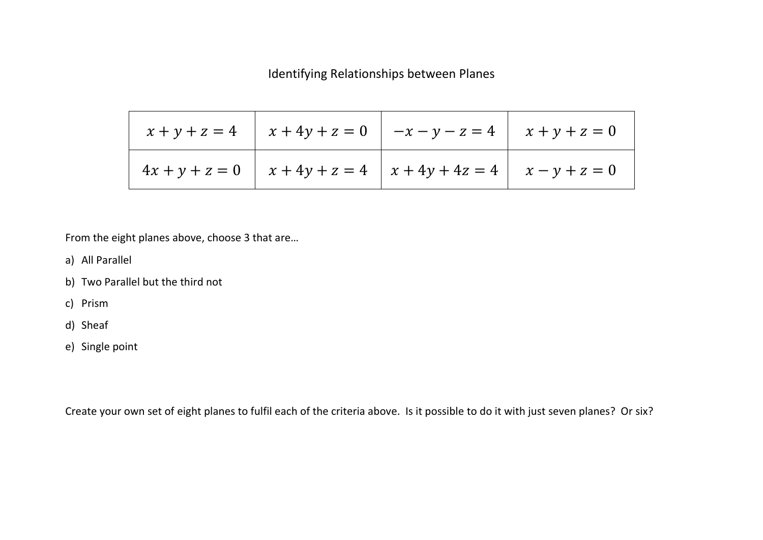Identifying Relationships between Planes

|  | $x + y + z = 4$ $x + 4y + z = 0$ $-x - y - z = 4$ $x + y + z = 0$   |  |
|--|---------------------------------------------------------------------|--|
|  | $4x + y + z = 0$ $x + 4y + z = 4$ $x + 4y + 4z = 4$ $x - y + z = 0$ |  |

From the eight planes above, choose 3 that are…

- a) All Parallel
- b) Two Parallel but the third not
- c) Prism
- d) Sheaf
- e) Single point

Create your own set of eight planes to fulfil each of the criteria above. Is it possible to do it with just seven planes? Or six?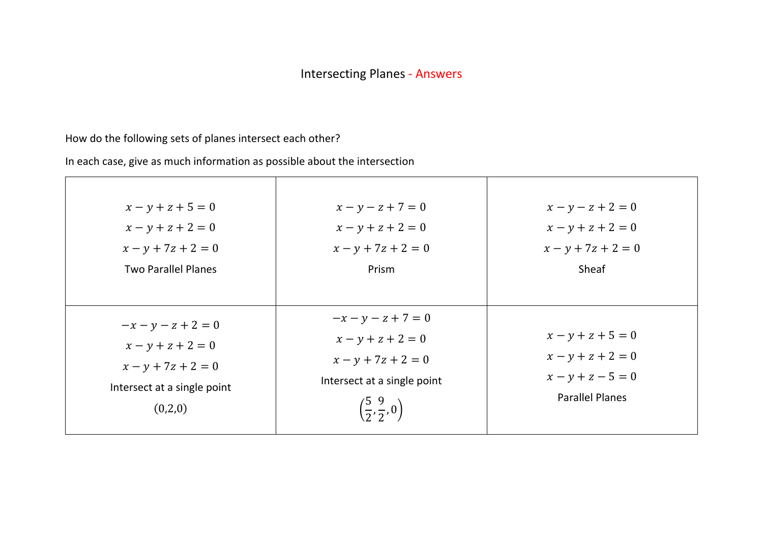### How do the following sets of planes intersect each other?

| $x - y + z + 5 = 0$<br>$x - y + z + 2 = 0$<br>$x - y + 7z + 2 = 0$<br><b>Two Parallel Planes</b>              | $x - y - z + 7 = 0$<br>$x - y + z + 2 = 0$<br>$x - y + 7z + 2 = 0$<br>Prism                                                                      | $x - y - z + 2 = 0$<br>$x - y + z + 2 = 0$<br>$x - y + 7z + 2 = 0$<br>Sheaf                 |
|---------------------------------------------------------------------------------------------------------------|--------------------------------------------------------------------------------------------------------------------------------------------------|---------------------------------------------------------------------------------------------|
| $-x - y - z + 2 = 0$<br>$x - y + z + 2 = 0$<br>$x - y + 7z + 2 = 0$<br>Intersect at a single point<br>(0,2,0) | $-x - y - z + 7 = 0$<br>$x - y + z + 2 = 0$<br>$x - y + 7z + 2 = 0$<br>Intersect at a single point<br>$\left(\frac{5}{2}, \frac{9}{2}, 0\right)$ | $x - y + z + 5 = 0$<br>$x - y + z + 2 = 0$<br>$x - y + z - 5 = 0$<br><b>Parallel Planes</b> |